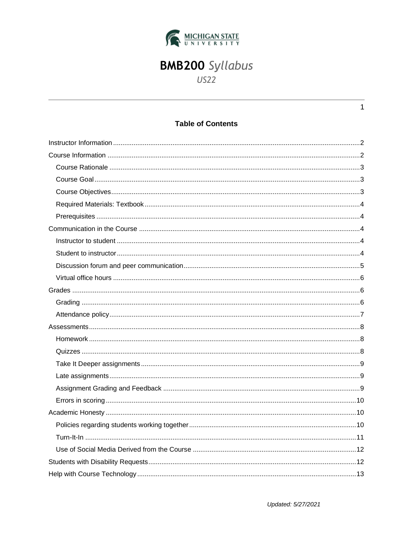

# **BMB200** Syllabus

US22

## **Table of Contents**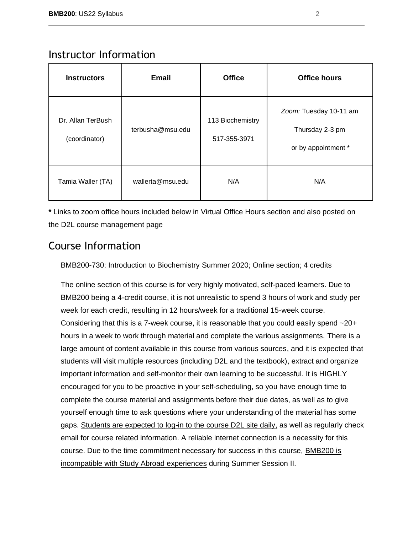<span id="page-1-0"></span>

|  | Instructor Information |
|--|------------------------|
|--|------------------------|

| <b>Instructors</b>                 | <b>Email</b>     | <b>Office</b>                    | <b>Office hours</b>                                              |
|------------------------------------|------------------|----------------------------------|------------------------------------------------------------------|
| Dr. Allan TerBush<br>(coordinator) | terbusha@msu.edu | 113 Biochemistry<br>517-355-3971 | Zoom: Tuesday 10-11 am<br>Thursday 2-3 pm<br>or by appointment * |
| Tamia Waller (TA)                  | wallerta@msu.edu | N/A                              | N/A                                                              |

**\*** Links to zoom office hours included below in Virtual Office Hours section and also posted on the D2L course management page

# <span id="page-1-1"></span>Course Information

BMB200-730: Introduction to Biochemistry Summer 2020; Online section; 4 credits

The online section of this course is for very highly motivated, self-paced learners. Due to BMB200 being a 4-credit course, it is not unrealistic to spend 3 hours of work and study per week for each credit, resulting in 12 hours/week for a traditional 15-week course. Considering that this is a 7-week course, it is reasonable that you could easily spend  $\sim$ 20+ hours in a week to work through material and complete the various assignments. There is a large amount of content available in this course from various sources, and it is expected that students will visit multiple resources (including D2L and the textbook), extract and organize important information and self-monitor their own learning to be successful. It is HIGHLY encouraged for you to be proactive in your self-scheduling, so you have enough time to complete the course material and assignments before their due dates, as well as to give yourself enough time to ask questions where your understanding of the material has some gaps. Students are expected to log-in to the course D2L site daily, as well as regularly check email for course related information. A reliable internet connection is a necessity for this course. Due to the time commitment necessary for success in this course, BMB200 is incompatible with Study Abroad experiences during Summer Session II.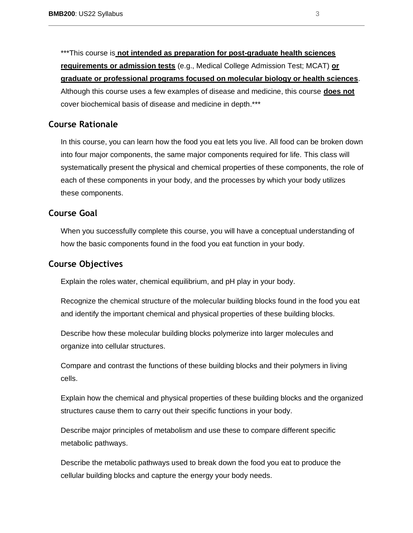\*\*\*This course is **not intended as preparation for post-graduate health sciences requirements or admission tests** (e.g., Medical College Admission Test; MCAT) **or graduate or professional programs focused on molecular biology or health sciences**. Although this course uses a few examples of disease and medicine, this course **does not** cover biochemical basis of disease and medicine in depth.\*\*\*

### <span id="page-2-0"></span>**Course Rationale**

In this course, you can learn how the food you eat lets you live. All food can be broken down into four major components, the same major components required for life. This class will systematically present the physical and chemical properties of these components, the role of each of these components in your body, and the processes by which your body utilizes these components.

#### <span id="page-2-1"></span>**Course Goal**

When you successfully complete this course, you will have a conceptual understanding of how the basic components found in the food you eat function in your body.

## <span id="page-2-2"></span>**Course Objectives**

Explain the roles water, chemical equilibrium, and pH play in your body.

Recognize the chemical structure of the molecular building blocks found in the food you eat and identify the important chemical and physical properties of these building blocks.

Describe how these molecular building blocks polymerize into larger molecules and organize into cellular structures.

Compare and contrast the functions of these building blocks and their polymers in living cells.

Explain how the chemical and physical properties of these building blocks and the organized structures cause them to carry out their specific functions in your body.

Describe major principles of metabolism and use these to compare different specific metabolic pathways.

Describe the metabolic pathways used to break down the food you eat to produce the cellular building blocks and capture the energy your body needs.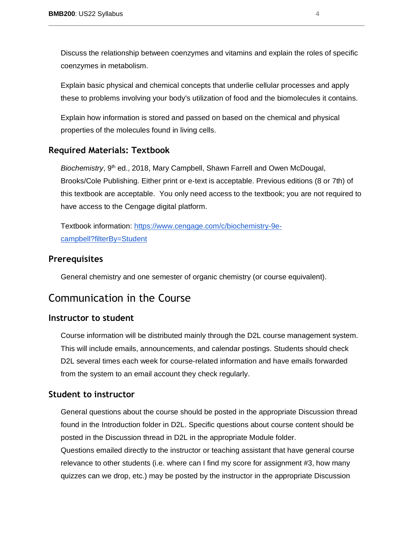Discuss the relationship between coenzymes and vitamins and explain the roles of specific coenzymes in metabolism.

Explain basic physical and chemical concepts that underlie cellular processes and apply these to problems involving your body's utilization of food and the biomolecules it contains.

Explain how information is stored and passed on based on the chemical and physical properties of the molecules found in living cells.

## <span id="page-3-0"></span>**Required Materials: Textbook**

*Biochemistry*, 9<sup>th</sup> ed., 2018, Mary Campbell, Shawn Farrell and Owen McDougal, Brooks/Cole Publishing. Either print or e-text is acceptable. Previous editions (8 or 7th) of this textbook are acceptable. You only need access to the textbook; you are not required to have access to the Cengage digital platform.

Textbook information: [https://www.cengage.com/c/biochemistry-9e](https://www.cengage.com/c/biochemistry-9e-campbell?filterBy=Student)[campbell?filterBy=Student](https://www.cengage.com/c/biochemistry-9e-campbell?filterBy=Student)

## <span id="page-3-1"></span>**Prerequisites**

General chemistry and one semester of organic chemistry (or course equivalent).

# <span id="page-3-2"></span>Communication in the Course

## <span id="page-3-3"></span>**Instructor to student**

Course information will be distributed mainly through the D2L course management system. This will include emails, announcements, and calendar postings. Students should check D2L several times each week for course-related information and have emails forwarded from the system to an email account they check regularly.

## <span id="page-3-4"></span>**Student to instructor**

General questions about the course should be posted in the appropriate Discussion thread found in the Introduction folder in D2L. Specific questions about course content should be posted in the Discussion thread in D2L in the appropriate Module folder. Questions emailed directly to the instructor or teaching assistant that have general course relevance to other students (i.e. where can I find my score for assignment #3, how many quizzes can we drop, etc.) may be posted by the instructor in the appropriate Discussion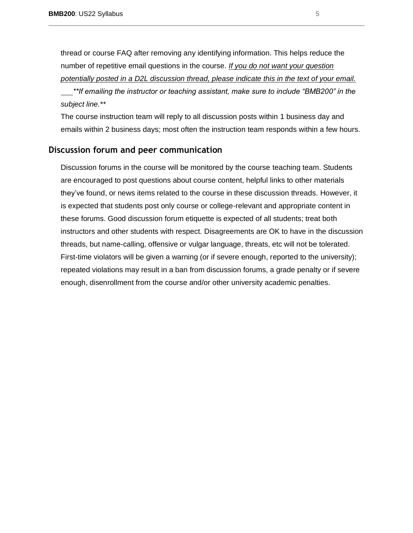thread or course FAQ after removing any identifying information. This helps reduce the number of repetitive email questions in the course. *If you do not want your question potentially posted in a D2L discussion thread, please indicate this in the text of your email. \*\*If emailing the instructor or teaching assistant, make sure to include "BMB200" in the* 

#### *subject line.\*\**

The course instruction team will reply to all discussion posts within 1 business day and emails within 2 business days; most often the instruction team responds within a few hours.

#### <span id="page-4-0"></span>**Discussion forum and peer communication**

Discussion forums in the course will be monitored by the course teaching team. Students are encouraged to post questions about course content, helpful links to other materials they've found, or news items related to the course in these discussion threads. However, it is expected that students post only course or college-relevant and appropriate content in these forums. Good discussion forum etiquette is expected of all students; treat both instructors and other students with respect. Disagreements are OK to have in the discussion threads, but name-calling, offensive or vulgar language, threats, etc will not be tolerated. First-time violators will be given a warning (or if severe enough, reported to the university); repeated violations may result in a ban from discussion forums, a grade penalty or if severe enough, disenrollment from the course and/or other university academic penalties.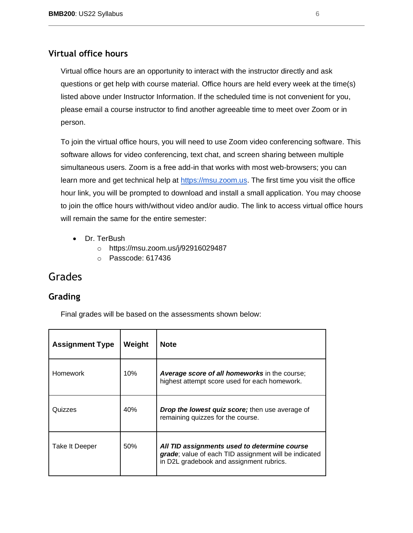## <span id="page-5-0"></span>**Virtual office hours**

Virtual office hours are an opportunity to interact with the instructor directly and ask questions or get help with course material. Office hours are held every week at the time(s) listed above under Instructor Information. If the scheduled time is not convenient for you, please email a course instructor to find another agreeable time to meet over Zoom or in person.

To join the virtual office hours, you will need to use Zoom video conferencing software. This software allows for video conferencing, text chat, and screen sharing between multiple simultaneous users. Zoom is a free add-in that works with most web-browsers; you can learn more and get technical help at [https://msu.zoom.us.](https://msu.zoom.us/) The first time you visit the office hour link, you will be prompted to download and install a small application. You may choose to join the office hours with/without video and/or audio. The link to access virtual office hours will remain the same for the entire semester:

- Dr. TerBush
	- o https://msu.zoom.us/j/92916029487
	- o Passcode: 617436

# <span id="page-5-1"></span>Grades

## <span id="page-5-2"></span>**Grading**

Final grades will be based on the assessments shown below:

| <b>Assignment Type</b> | Weight | <b>Note</b>                                                                                                                                       |
|------------------------|--------|---------------------------------------------------------------------------------------------------------------------------------------------------|
| <b>Homework</b>        | 10%    | <b>Average score of all homeworks in the course;</b><br>highest attempt score used for each homework.                                             |
| Quizzes                | 40%    | <b>Drop the lowest quiz score;</b> then use average of<br>remaining quizzes for the course.                                                       |
| Take It Deeper         | 50%    | All TID assignments used to determine course<br>grade; value of each TID assignment will be indicated<br>in D2L gradebook and assignment rubrics. |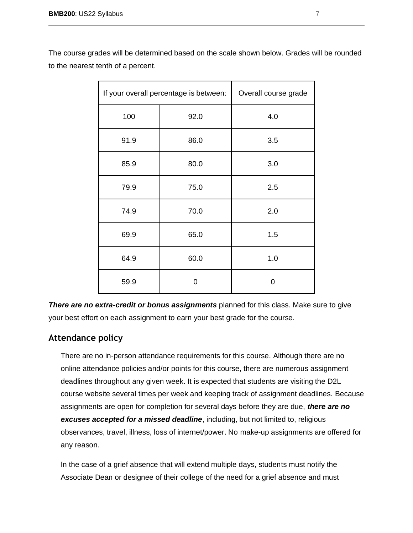| If your overall percentage is between: |      | Overall course grade |
|----------------------------------------|------|----------------------|
| 100                                    | 92.0 | 4.0                  |
| 91.9                                   | 86.0 | 3.5                  |
| 85.9                                   | 80.0 | 3.0                  |
| 79.9                                   | 75.0 | 2.5                  |
| 74.9                                   | 70.0 | 2.0                  |
| 69.9                                   | 65.0 | 1.5                  |
| 64.9                                   | 60.0 | 1.0                  |
| 59.9                                   | ი    | 0                    |

The course grades will be determined based on the scale shown below. Grades will be rounded to the nearest tenth of a percent.

**There are no extra-credit or bonus assignments** planned for this class. Make sure to give your best effort on each assignment to earn your best grade for the course.

## <span id="page-6-0"></span>**Attendance policy**

There are no in-person attendance requirements for this course. Although there are no online attendance policies and/or points for this course, there are numerous assignment deadlines throughout any given week. It is expected that students are visiting the D2L course website several times per week and keeping track of assignment deadlines. Because assignments are open for completion for several days before they are due, *there are no excuses accepted for a missed deadline*, including, but not limited to, religious observances, travel, illness, loss of internet/power. No make-up assignments are offered for any reason.

In the case of a grief absence that will extend multiple days, students must notify the Associate Dean or designee of their college of the need for a grief absence and must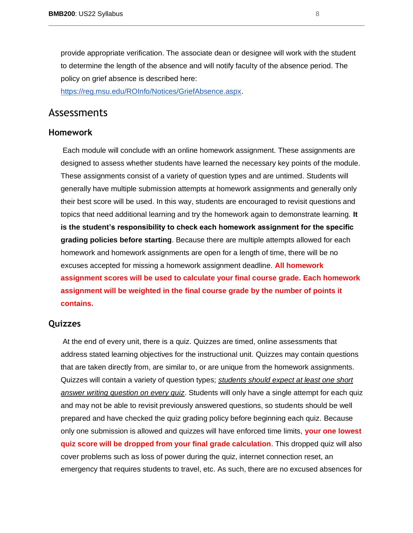provide appropriate verification. The associate dean or designee will work with the student to determine the length of the absence and will notify faculty of the absence period. The policy on grief absence is described here[:](https://reg.msu.edu/ROInfo/Notices/GriefAbsence.aspx)

[https://reg.msu.edu/ROInfo/Notices/GriefAbsence.aspx.](https://reg.msu.edu/ROInfo/Notices/GriefAbsence.aspx)

## <span id="page-7-0"></span>Assessments

#### <span id="page-7-1"></span>**Homework**

Each module will conclude with an online homework assignment. These assignments are designed to assess whether students have learned the necessary key points of the module. These assignments consist of a variety of question types and are untimed. Students will generally have multiple submission attempts at homework assignments and generally only their best score will be used. In this way, students are encouraged to revisit questions and topics that need additional learning and try the homework again to demonstrate learning. **It is the student's responsibility to check each homework assignment for the specific grading policies before starting**. Because there are multiple attempts allowed for each homework and homework assignments are open for a length of time, there will be no excuses accepted for missing a homework assignment deadline. **All homework assignment scores will be used to calculate your final course grade. Each homework assignment will be weighted in the final course grade by the number of points it contains.**

## <span id="page-7-2"></span>**Quizzes**

At the end of every unit, there is a quiz. Quizzes are timed, online assessments that address stated learning objectives for the instructional unit. Quizzes may contain questions that are taken directly from, are similar to, or are unique from the homework assignments. Quizzes will contain a variety of question types; *students should expect at least one short answer writing question on every quiz*. Students will only have a single attempt for each quiz and may not be able to revisit previously answered questions, so students should be well prepared and have checked the quiz grading policy before beginning each quiz. Because only one submission is allowed and quizzes will have enforced time limits, **your one lowest quiz score will be dropped from your final grade calculation**. This dropped quiz will also cover problems such as loss of power during the quiz, internet connection reset, an emergency that requires students to travel, etc. As such, there are no excused absences for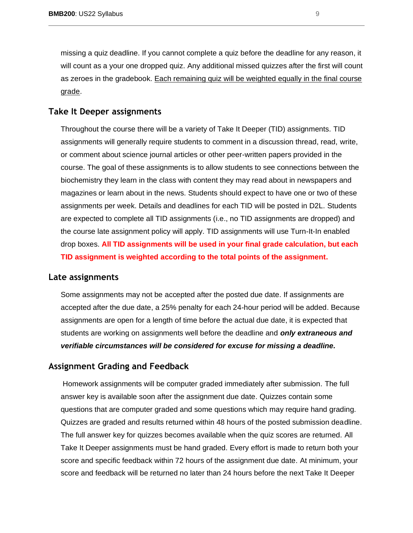missing a quiz deadline. If you cannot complete a quiz before the deadline for any reason, it will count as a your one dropped quiz. Any additional missed quizzes after the first will count as zeroes in the gradebook. Each remaining quiz will be weighted equally in the final course grade.

### <span id="page-8-0"></span>**Take It Deeper assignments**

Throughout the course there will be a variety of Take It Deeper (TID) assignments. TID assignments will generally require students to comment in a discussion thread, read, write, or comment about science journal articles or other peer-written papers provided in the course. The goal of these assignments is to allow students to see connections between the biochemistry they learn in the class with content they may read about in newspapers and magazines or learn about in the news. Students should expect to have one or two of these assignments per week. Details and deadlines for each TID will be posted in D2L. Students are expected to complete all TID assignments (i.e., no TID assignments are dropped) and the course late assignment policy will apply. TID assignments will use Turn-It-In enabled drop boxes. **All TID assignments will be used in your final grade calculation, but each TID assignment is weighted according to the total points of the assignment.**

#### <span id="page-8-1"></span>**Late assignments**

Some assignments may not be accepted after the posted due date. If assignments are accepted after the due date, a 25% penalty for each 24-hour period will be added. Because assignments are open for a length of time before the actual due date, it is expected that students are working on assignments well before the deadline and *only extraneous and verifiable circumstances will be considered for excuse for missing a deadline.* 

#### <span id="page-8-2"></span>**Assignment Grading and Feedback**

Homework assignments will be computer graded immediately after submission. The full answer key is available soon after the assignment due date. Quizzes contain some questions that are computer graded and some questions which may require hand grading. Quizzes are graded and results returned within 48 hours of the posted submission deadline. The full answer key for quizzes becomes available when the quiz scores are returned. All Take It Deeper assignments must be hand graded. Every effort is made to return both your score and specific feedback within 72 hours of the assignment due date. At minimum, your score and feedback will be returned no later than 24 hours before the next Take It Deeper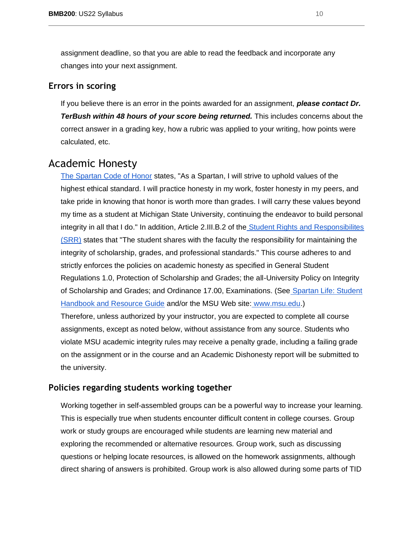assignment deadline, so that you are able to read the feedback and incorporate any changes into your next assignment.

## <span id="page-9-0"></span>**Errors in scoring**

If you believe there is an error in the points awarded for an assignment, *please contact Dr. TerBush within 48 hours of your score being returned.* This includes concerns about the correct answer in a grading key, how a rubric was applied to your writing, how points were calculated, etc.

## <span id="page-9-1"></span>Academic Honesty

[The Spartan Code of Honor](https://honorcode.msu.edu/) states, "As a Spartan, I will strive to uphold values of the highest ethical standard. I will practice honesty in my work, foster honesty in my peers, and take pride in knowing that honor is worth more than grades. I will carry these values beyond my time as a student at Michigan State University, continuing the endeavor to build personal integrity in all that I do." In addition, Article 2.III.B.2 of the [Student Rights and Responsibilites](http://splife.studentlife.msu.edu/academic-freedom-for-students-at-michigan-state-university)  [\(SRR\)](http://splife.studentlife.msu.edu/academic-freedom-for-students-at-michigan-state-university) states that "The student shares with the faculty the responsibility for maintaining the integrity of scholarship, grades, and professional standards." This course adheres to and strictly enforces the policies on academic honesty as specified in General Student Regulations 1.0, Protection of Scholarship and Grades; the all-University Policy on Integrity of Scholarship and Grades; and Ordinance 17.00, Examinations. (See [Spartan Life: Student](http://splife.studentlife.msu.edu/)  [Handbook and Resource Guide](http://splife.studentlife.msu.edu/) and/or the MSU Web site: [www.msu.edu.](http://www.msu.edu/))

Therefore, unless authorized by your instructor, you are expected to complete all course assignments, except as noted below, without assistance from any source. Students who violate MSU academic integrity rules may receive a penalty grade, including a failing grade on the assignment or in the course and an Academic Dishonesty report will be submitted to the university.

#### <span id="page-9-2"></span>**Policies regarding students working together**

Working together in self-assembled groups can be a powerful way to increase your learning. This is especially true when students encounter difficult content in college courses. Group work or study groups are encouraged while students are learning new material and exploring the recommended or alternative resources. Group work, such as discussing questions or helping locate resources, is allowed on the homework assignments, although direct sharing of answers is prohibited. Group work is also allowed during some parts of TID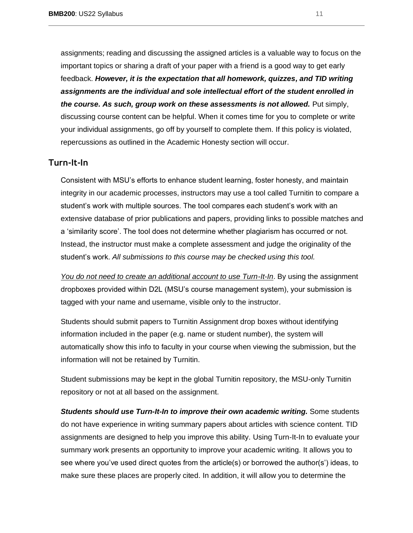assignments; reading and discussing the assigned articles is a valuable way to focus on the important topics or sharing a draft of your paper with a friend is a good way to get early feedback. *However, it is the expectation that all homework, quizzes, and TID writing assignments are the individual and sole intellectual effort of the student enrolled in the course. As such, group work on these assessments is not allowed.* Put simply, discussing course content can be helpful. When it comes time for you to complete or write your individual assignments, go off by yourself to complete them. If this policy is violated, repercussions as outlined in the Academic Honesty section will occur.

## <span id="page-10-0"></span>**[Turn-It-In](https://tech.msu.edu/teaching/tools/turnitin/)**

Consistent with MSU's efforts to enhance student learning, foster honesty, and maintain integrity in our academic processes, instructors may use a tool called Turnitin to compare a student's work with multiple sources. The tool compares each student's work with an extensive database of prior publications and papers, providing links to possible matches and a 'similarity score'. The tool does not determine whether plagiarism has occurred or not. Instead, the instructor must make a complete assessment and judge the originality of the student's work. *All submissions to this course may be checked using this tool.*

*You do not need to create an additional account to use Turn-It-In*. By using the assignment dropboxes provided within D2L (MSU's course management system), your submission is tagged with your name and username, visible only to the instructor.

Students should submit papers to Turnitin Assignment drop boxes without identifying information included in the paper (e.g. name or student number), the system will automatically show this info to faculty in your course when viewing the submission, but the information will not be retained by Turnitin.

Student submissions may be kept in the global Turnitin repository, the MSU-only Turnitin repository or not at all based on the assignment.

*Students should use Turn-It-In to improve their own academic writing.* Some students do not have experience in writing summary papers about articles with science content. TID assignments are designed to help you improve this ability. Using Turn-It-In to evaluate your summary work presents an opportunity to improve your academic writing. It allows you to see where you've used direct quotes from the article(s) or borrowed the author(s') ideas, to make sure these places are properly cited. In addition, it will allow you to determine the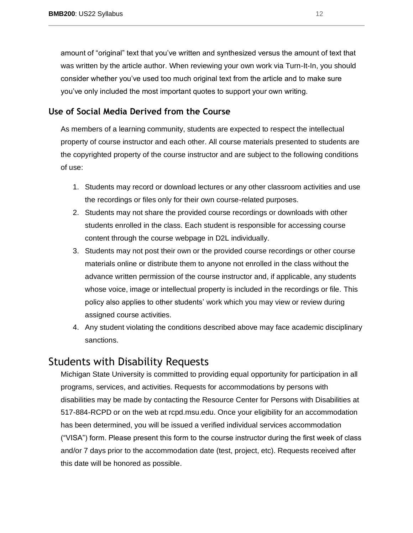amount of "original" text that you've written and synthesized versus the amount of text that was written by the article author. When reviewing your own work via Turn-It-In, you should consider whether you've used too much original text from the article and to make sure you've only included the most important quotes to support your own writing.

## <span id="page-11-0"></span>**Use of Social Media Derived from the Course**

As members of a learning community, students are expected to respect the intellectual property of course instructor and each other. All course materials presented to students are the copyrighted property of the course instructor and are subject to the following conditions of use:

- 1. Students may record or download lectures or any other classroom activities and use the recordings or files only for their own course-related purposes.
- 2. Students may not share the provided course recordings or downloads with other students enrolled in the class. Each student is responsible for accessing course content through the course webpage in D2L individually.
- 3. Students may not post their own or the provided course recordings or other course materials online or distribute them to anyone not enrolled in the class without the advance written permission of the course instructor and, if applicable, any students whose voice, image or intellectual property is included in the recordings or file. This policy also applies to other students' work which you may view or review during assigned course activities.
- 4. Any student violating the conditions described above may face academic disciplinary sanctions.

# <span id="page-11-1"></span>Students with Disability Requests

Michigan State University is committed to providing equal opportunity for participation in all programs, services, and activities. Requests for accommodations by persons with disabilities may be made by contacting the Resource Center for Persons with Disabilities at 517-884-RCPD or on the web at rcpd.msu.edu. Once your eligibility for an accommodation has been determined, you will be issued a verified individual services accommodation ("VISA") form. Please present this form to the course instructor during the first week of class and/or 7 days prior to the accommodation date (test, project, etc). Requests received after this date will be honored as possible.